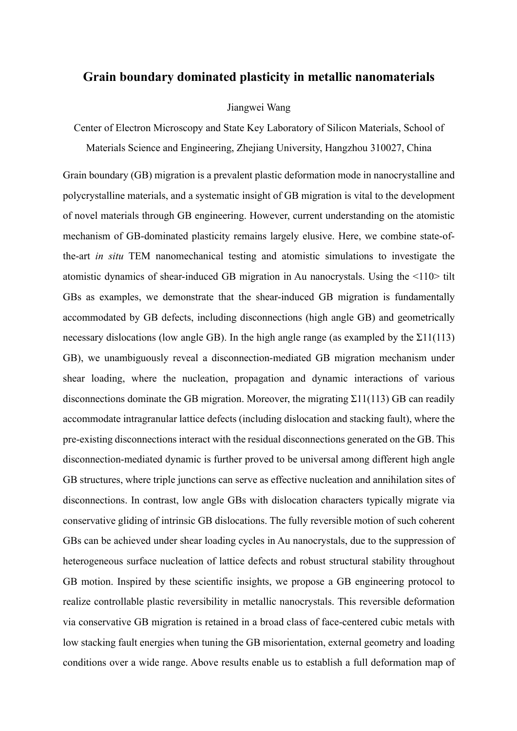## **Grain boundary dominated plasticity in metallic nanomaterials**

## Jiangwei Wang

Center of Electron Microscopy and State Key Laboratory of Silicon Materials, School of Materials Science and Engineering, Zhejiang University, Hangzhou 310027, China

Grain boundary (GB) migration is a prevalent plastic deformation mode in nanocrystalline and polycrystalline materials, and a systematic insight of GB migration is vital to the development of novel materials through GB engineering. However, current understanding on the atomistic mechanism of GB-dominated plasticity remains largely elusive. Here, we combine state-ofthe-art *in situ* TEM nanomechanical testing and atomistic simulations to investigate the atomistic dynamics of shear-induced GB migration in Au nanocrystals. Using the <110> tilt GBs as examples, we demonstrate that the shear-induced GB migration is fundamentally accommodated by GB defects, including disconnections (high angle GB) and geometrically necessary dislocations (low angle GB). In the high angle range (as exampled by the  $\Sigma$ 11(113) GB), we unambiguously reveal a disconnection-mediated GB migration mechanism under shear loading, where the nucleation, propagation and dynamic interactions of various disconnections dominate the GB migration. Moreover, the migrating  $\Sigma$ 11(113) GB can readily accommodate intragranular lattice defects (including dislocation and stacking fault), where the pre-existing disconnections interact with the residual disconnections generated on the GB. This disconnection-mediated dynamic is further proved to be universal among different high angle GB structures, where triple junctions can serve as effective nucleation and annihilation sites of disconnections. In contrast, low angle GBs with dislocation characters typically migrate via conservative gliding of intrinsic GB dislocations. The fully reversible motion of such coherent GBs can be achieved under shear loading cycles in Au nanocrystals, due to the suppression of heterogeneous surface nucleation of lattice defects and robust structural stability throughout GB motion. Inspired by these scientific insights, we propose a GB engineering protocol to realize controllable plastic reversibility in metallic nanocrystals. This reversible deformation via conservative GB migration is retained in a broad class of face-centered cubic metals with low stacking fault energies when tuning the GB misorientation, external geometry and loading conditions over a wide range. Above results enable us to establish a full deformation map of